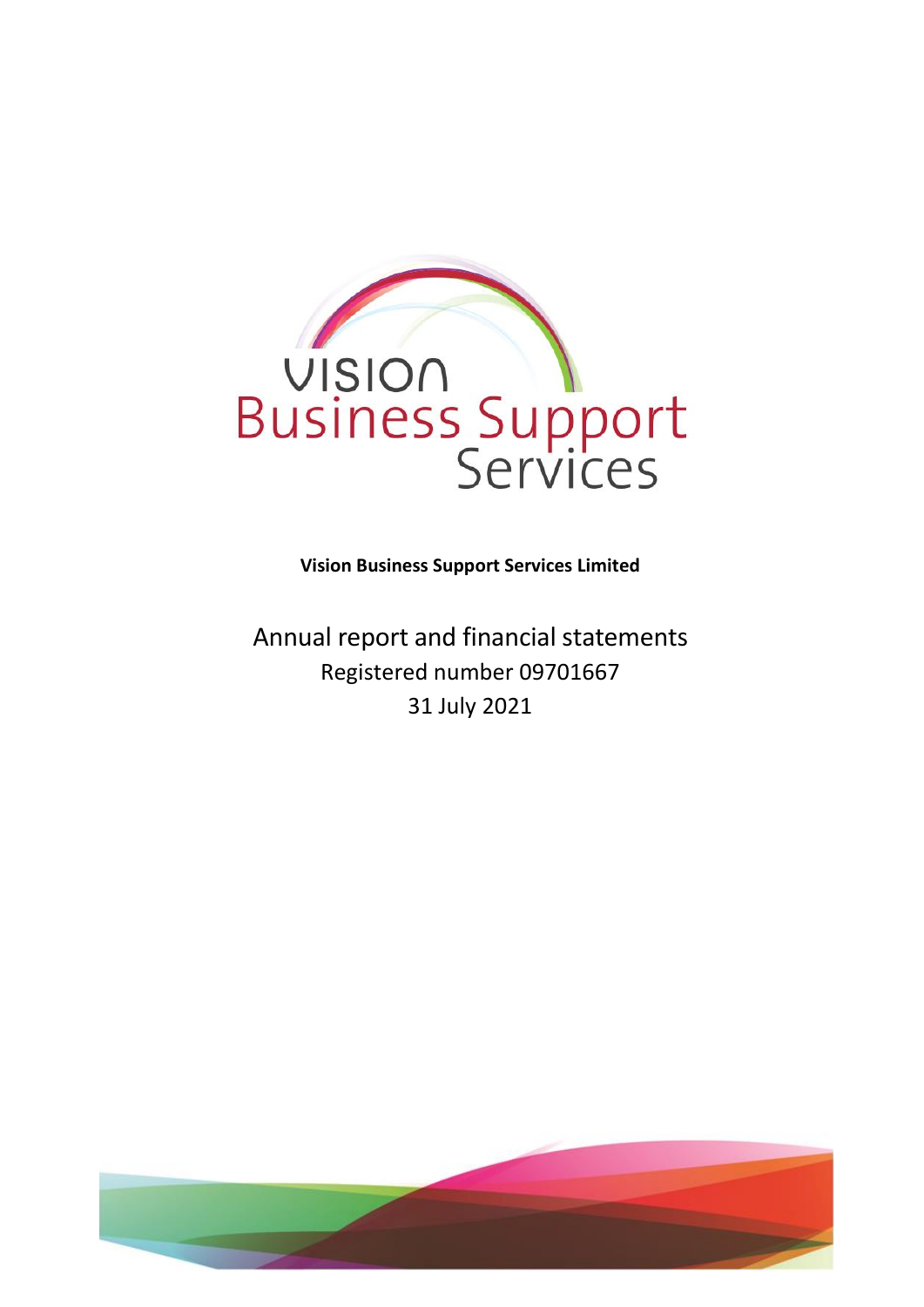

**Vision Business Support Services Limited**

Annual report and financial statements Registered number 09701667 31 July 2021

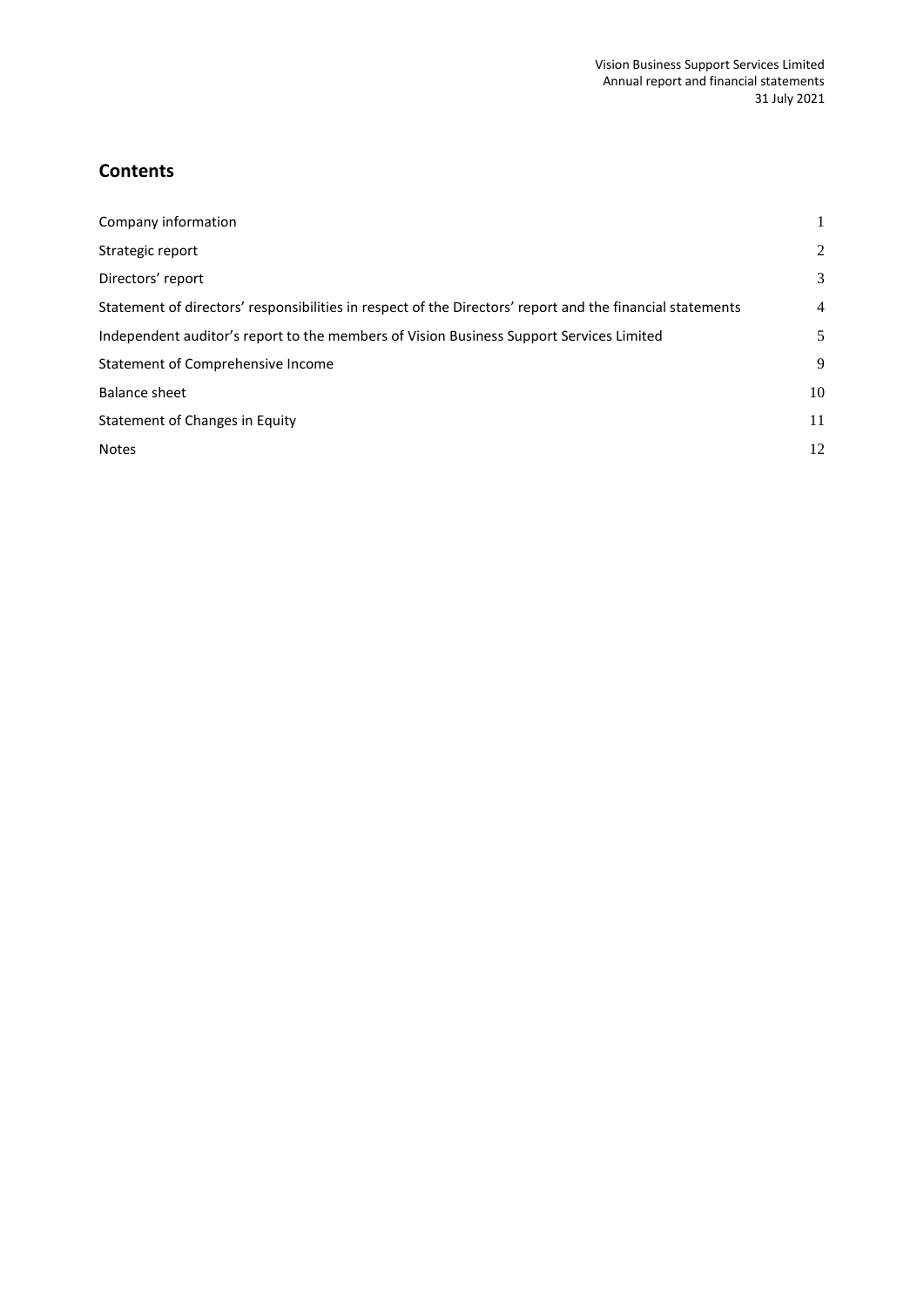# **Contents**

| Company information                                                                                       |                |
|-----------------------------------------------------------------------------------------------------------|----------------|
| Strategic report                                                                                          | 2              |
| Directors' report                                                                                         | 3              |
| Statement of directors' responsibilities in respect of the Directors' report and the financial statements | $\overline{4}$ |
| Independent auditor's report to the members of Vision Business Support Services Limited                   | 5              |
| Statement of Comprehensive Income                                                                         | 9              |
| <b>Balance sheet</b>                                                                                      | 10             |
| Statement of Changes in Equity                                                                            | 11             |
| <b>Notes</b>                                                                                              | 12             |
|                                                                                                           |                |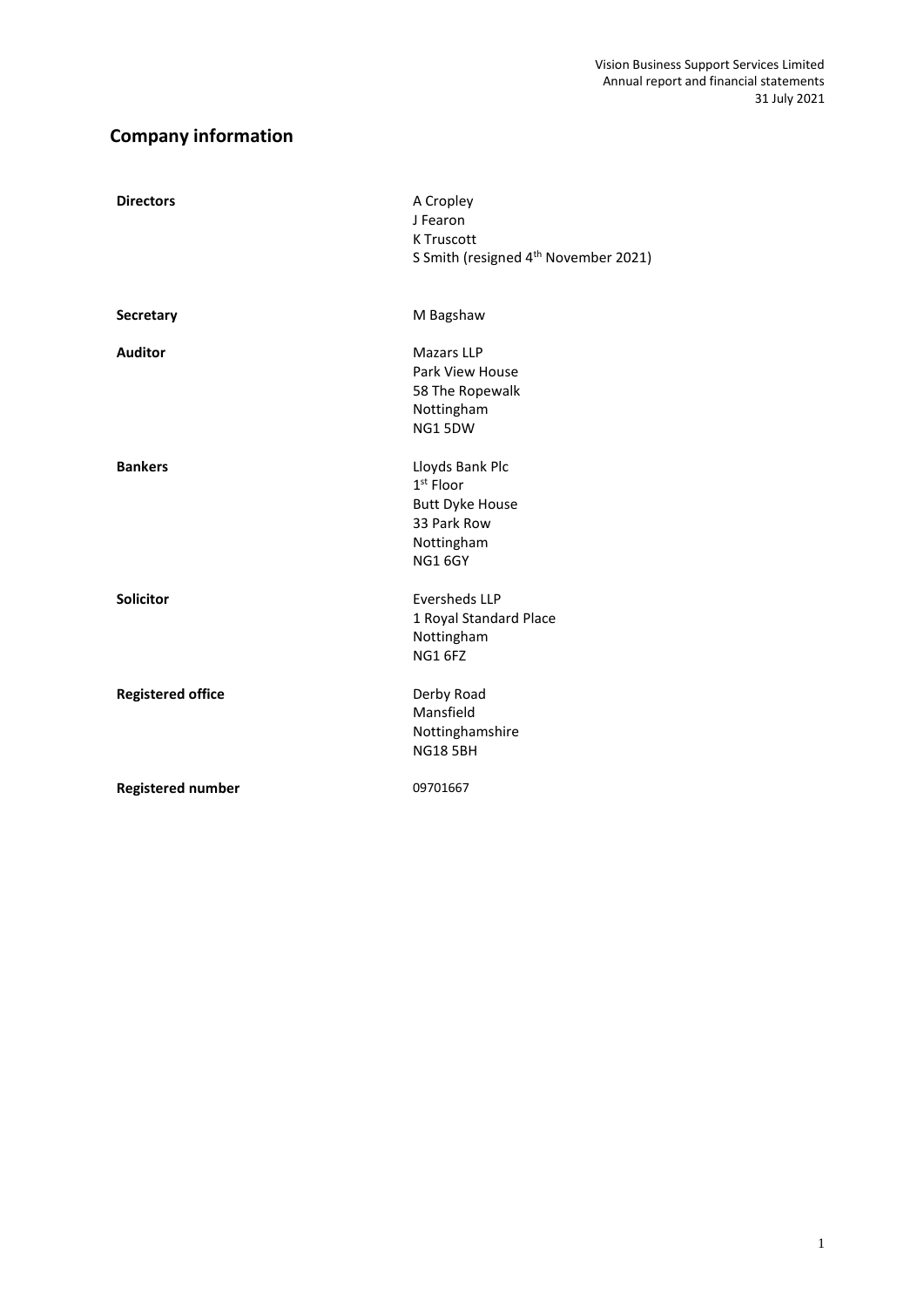# **Company information**

| <b>Directors</b>         | A Cropley<br>J Fearon<br><b>K Truscott</b><br>S Smith (resigned 4 <sup>th</sup> November 2021)   |
|--------------------------|--------------------------------------------------------------------------------------------------|
| <b>Secretary</b>         | M Bagshaw                                                                                        |
| <b>Auditor</b>           | <b>Mazars LLP</b><br>Park View House<br>58 The Ropewalk<br>Nottingham<br>NG15DW                  |
| <b>Bankers</b>           | Lloyds Bank Plc<br>$1st$ Floor<br><b>Butt Dyke House</b><br>33 Park Row<br>Nottingham<br>NG1 6GY |
| <b>Solicitor</b>         | Eversheds LLP<br>1 Royal Standard Place<br>Nottingham<br><b>NG1 6FZ</b>                          |
| <b>Registered office</b> | Derby Road<br>Mansfield<br>Nottinghamshire<br><b>NG18 5BH</b>                                    |
| <b>Registered number</b> | 09701667                                                                                         |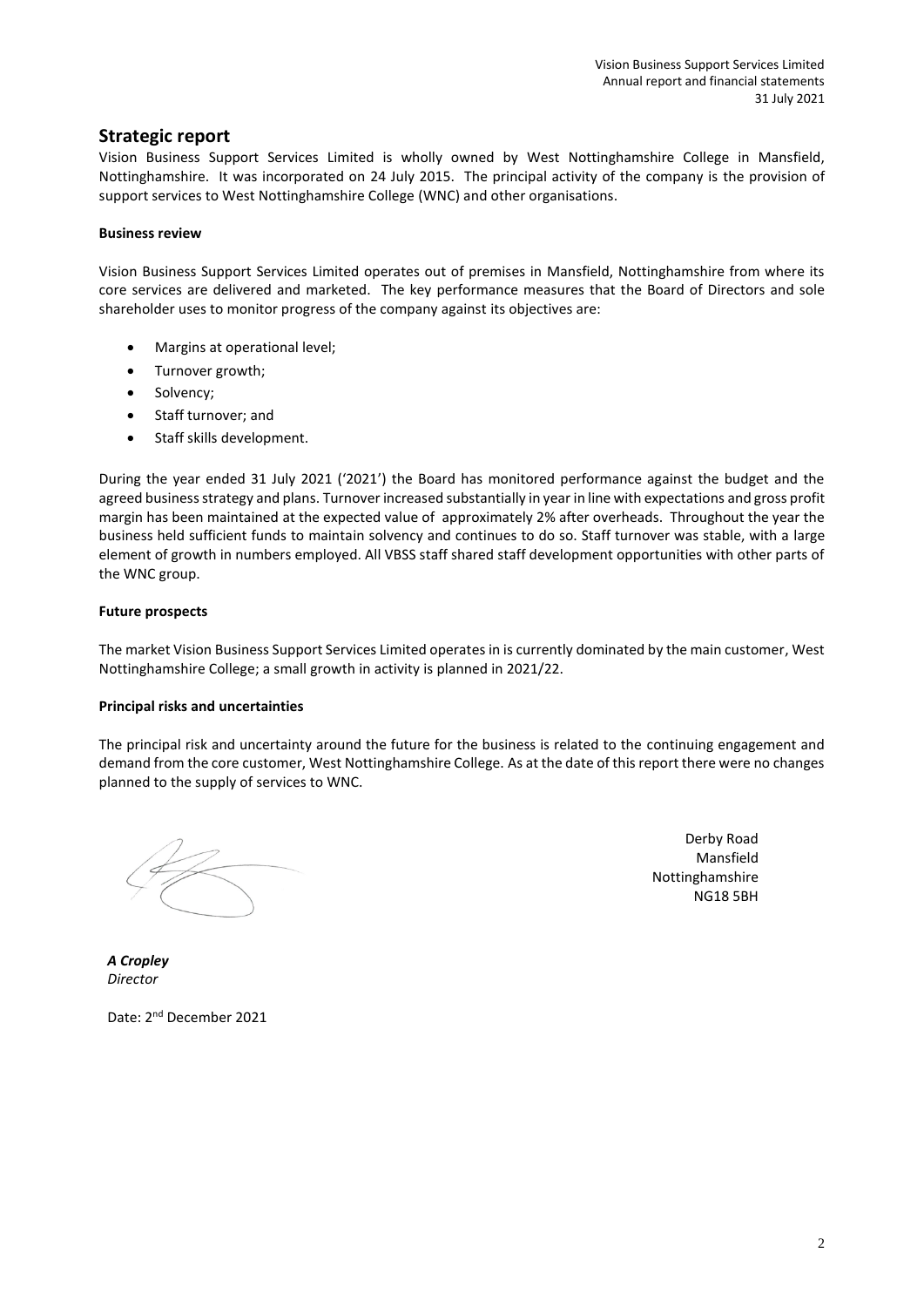# **Strategic report**

Vision Business Support Services Limited is wholly owned by West Nottinghamshire College in Mansfield, Nottinghamshire. It was incorporated on 24 July 2015. The principal activity of the company is the provision of support services to West Nottinghamshire College (WNC) and other organisations.

#### **Business review**

Vision Business Support Services Limited operates out of premises in Mansfield, Nottinghamshire from where its core services are delivered and marketed. The key performance measures that the Board of Directors and sole shareholder uses to monitor progress of the company against its objectives are:

- Margins at operational level;
- Turnover growth;
- Solvency;
- Staff turnover; and
- Staff skills development.

During the year ended 31 July 2021 ('2021') the Board has monitored performance against the budget and the agreed business strategy and plans. Turnover increased substantially in year in line with expectations and gross profit margin has been maintained at the expected value of approximately 2% after overheads. Throughout the year the business held sufficient funds to maintain solvency and continues to do so. Staff turnover was stable, with a large element of growth in numbers employed. All VBSS staff shared staff development opportunities with other parts of the WNC group.

#### **Future prospects**

The market Vision Business Support Services Limited operates in is currently dominated by the main customer, West Nottinghamshire College; a small growth in activity is planned in 2021/22.

#### **Principal risks and uncertainties**

The principal risk and uncertainty around the future for the business is related to the continuing engagement and demand from the core customer, West Nottinghamshire College. As at the date of this report there were no changes planned to the supply of services to WNC.

Derby Road Mansfield Nottinghamshire NG18 5BH

*A Cropley Director*

Date: 2<sup>nd</sup> December 2021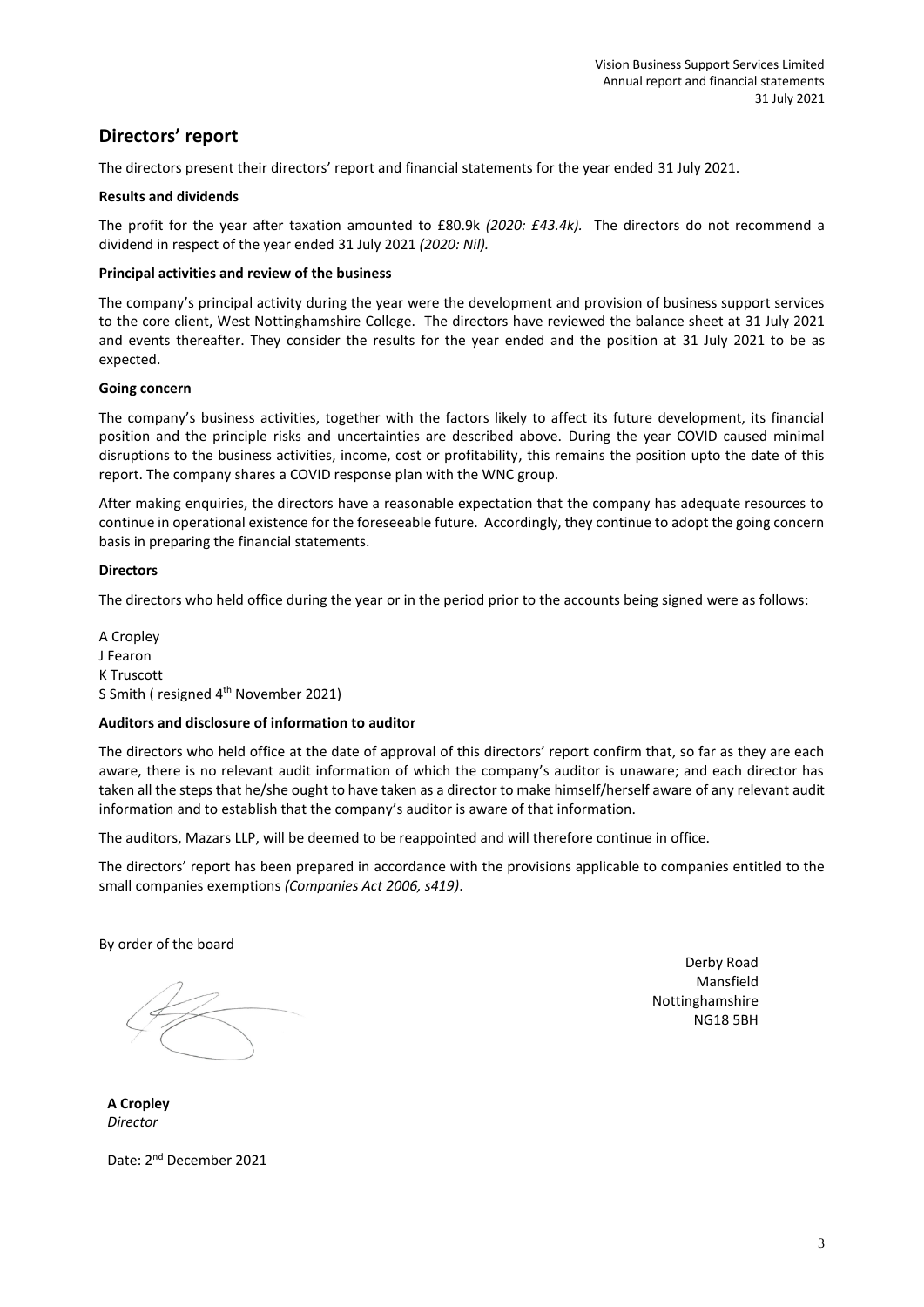# **Directors' report**

The directors present their directors' report and financial statements for the year ended 31 July 2021.

#### **Results and dividends**

The profit for the year after taxation amounted to £80.9k *(2020: £43.4k).* The directors do not recommend a dividend in respect of the year ended 31 July 2021 *(2020: Nil).*

#### **Principal activities and review of the business**

The company's principal activity during the year were the development and provision of business support services to the core client, West Nottinghamshire College. The directors have reviewed the balance sheet at 31 July 2021 and events thereafter. They consider the results for the year ended and the position at 31 July 2021 to be as expected.

#### **Going concern**

The company's business activities, together with the factors likely to affect its future development, its financial position and the principle risks and uncertainties are described above. During the year COVID caused minimal disruptions to the business activities, income, cost or profitability, this remains the position upto the date of this report. The company shares a COVID response plan with the WNC group.

After making enquiries, the directors have a reasonable expectation that the company has adequate resources to continue in operational existence for the foreseeable future. Accordingly, they continue to adopt the going concern basis in preparing the financial statements.

#### **Directors**

The directors who held office during the year or in the period prior to the accounts being signed were as follows:

A Cropley J Fearon K Truscott S Smith (resigned 4<sup>th</sup> November 2021)

#### **Auditors and disclosure of information to auditor**

The directors who held office at the date of approval of this directors' report confirm that, so far as they are each aware, there is no relevant audit information of which the company's auditor is unaware; and each director has taken all the steps that he/she ought to have taken as a director to make himself/herself aware of any relevant audit information and to establish that the company's auditor is aware of that information.

The auditors, Mazars LLP, will be deemed to be reappointed and will therefore continue in office.

The directors' report has been prepared in accordance with the provisions applicable to companies entitled to the small companies exemptions *(Companies Act 2006, s419)*.

By order of the board

Derby Road Mansfield Nottinghamshire NG18 5BH

**A Cropley** *Director*

Date: 2<sup>nd</sup> December 2021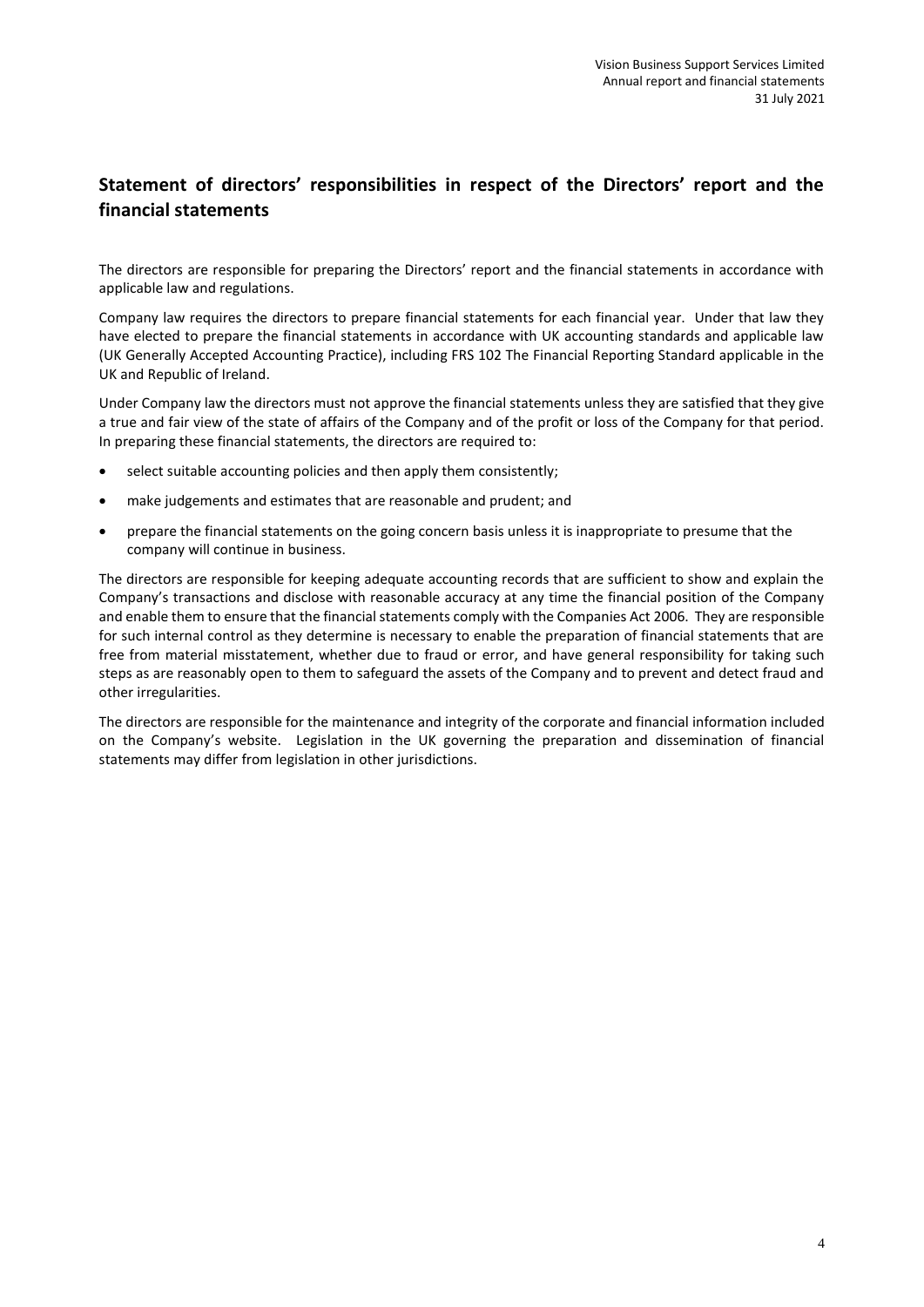# **Statement of directors' responsibilities in respect of the Directors' report and the financial statements**

The directors are responsible for preparing the Directors' report and the financial statements in accordance with applicable law and regulations.

Company law requires the directors to prepare financial statements for each financial year. Under that law they have elected to prepare the financial statements in accordance with UK accounting standards and applicable law (UK Generally Accepted Accounting Practice), including FRS 102 The Financial Reporting Standard applicable in the UK and Republic of Ireland.

Under Company law the directors must not approve the financial statements unless they are satisfied that they give a true and fair view of the state of affairs of the Company and of the profit or loss of the Company for that period. In preparing these financial statements, the directors are required to:

- select suitable accounting policies and then apply them consistently;
- make judgements and estimates that are reasonable and prudent; and
- prepare the financial statements on the going concern basis unless it is inappropriate to presume that the company will continue in business.

The directors are responsible for keeping adequate accounting records that are sufficient to show and explain the Company's transactions and disclose with reasonable accuracy at any time the financial position of the Company and enable them to ensure that the financial statements comply with the Companies Act 2006. They are responsible for such internal control as they determine is necessary to enable the preparation of financial statements that are free from material misstatement, whether due to fraud or error, and have general responsibility for taking such steps as are reasonably open to them to safeguard the assets of the Company and to prevent and detect fraud and other irregularities.

The directors are responsible for the maintenance and integrity of the corporate and financial information included on the Company's website. Legislation in the UK governing the preparation and dissemination of financial statements may differ from legislation in other jurisdictions.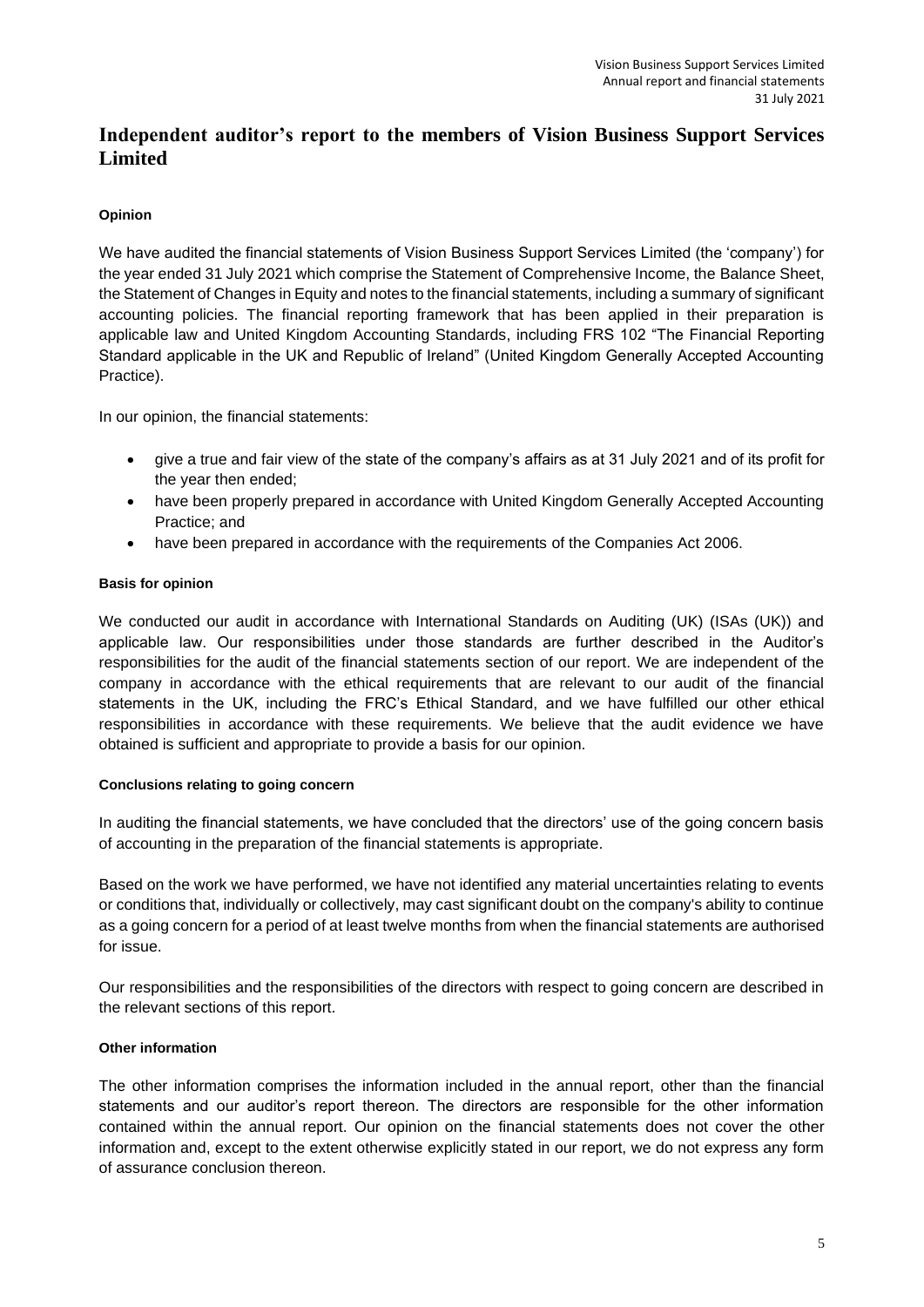# **Independent auditor's report to the members of Vision Business Support Services Limited**

# **Opinion**

We have audited the financial statements of Vision Business Support Services Limited (the 'company') for the year ended 31 July 2021 which comprise the Statement of Comprehensive Income, the Balance Sheet, the Statement of Changes in Equity and notes to the financial statements, including a summary of significant accounting policies. The financial reporting framework that has been applied in their preparation is applicable law and United Kingdom Accounting Standards, including FRS 102 "The Financial Reporting Standard applicable in the UK and Republic of Ireland" (United Kingdom Generally Accepted Accounting Practice).

In our opinion, the financial statements:

- give a true and fair view of the state of the company's affairs as at 31 July 2021 and of its profit for the year then ended;
- have been properly prepared in accordance with United Kingdom Generally Accepted Accounting Practice; and
- have been prepared in accordance with the requirements of the Companies Act 2006.

# **Basis for opinion**

We conducted our audit in accordance with International Standards on Auditing (UK) (ISAs (UK)) and applicable law. Our responsibilities under those standards are further described in the Auditor's responsibilities for the audit of the financial statements section of our report. We are independent of the company in accordance with the ethical requirements that are relevant to our audit of the financial statements in the UK, including the FRC's Ethical Standard, and we have fulfilled our other ethical responsibilities in accordance with these requirements. We believe that the audit evidence we have obtained is sufficient and appropriate to provide a basis for our opinion.

# **Conclusions relating to going concern**

In auditing the financial statements, we have concluded that the directors' use of the going concern basis of accounting in the preparation of the financial statements is appropriate.

Based on the work we have performed, we have not identified any material uncertainties relating to events or conditions that, individually or collectively, may cast significant doubt on the company's ability to continue as a going concern for a period of at least twelve months from when the financial statements are authorised for issue.

Our responsibilities and the responsibilities of the directors with respect to going concern are described in the relevant sections of this report.

# **Other information**

The other information comprises the information included in the annual report, other than the financial statements and our auditor's report thereon. The directors are responsible for the other information contained within the annual report. Our opinion on the financial statements does not cover the other information and, except to the extent otherwise explicitly stated in our report, we do not express any form of assurance conclusion thereon.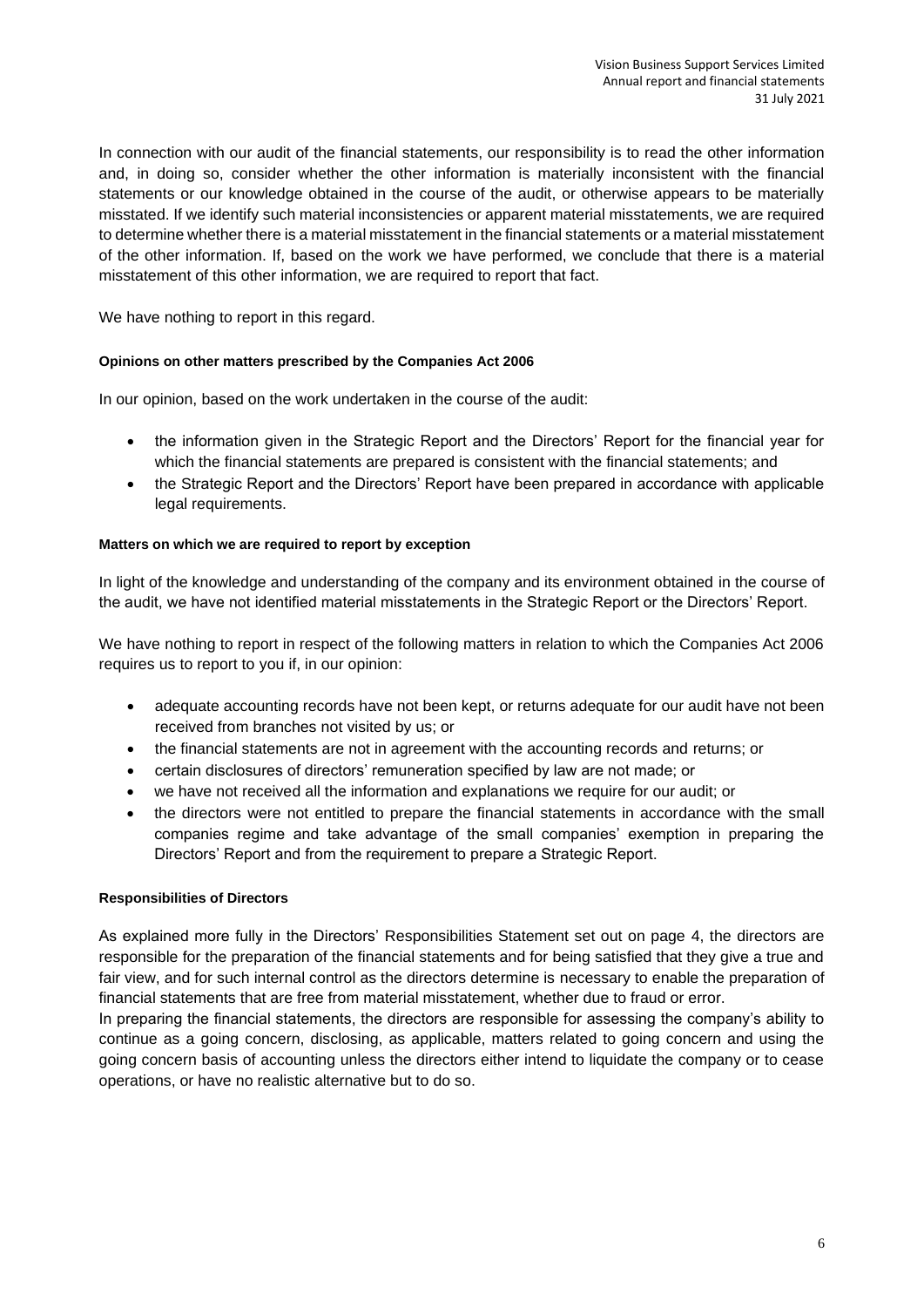In connection with our audit of the financial statements, our responsibility is to read the other information and, in doing so, consider whether the other information is materially inconsistent with the financial statements or our knowledge obtained in the course of the audit, or otherwise appears to be materially misstated. If we identify such material inconsistencies or apparent material misstatements, we are required to determine whether there is a material misstatement in the financial statements or a material misstatement of the other information. If, based on the work we have performed, we conclude that there is a material misstatement of this other information, we are required to report that fact.

We have nothing to report in this regard.

# **Opinions on other matters prescribed by the Companies Act 2006**

In our opinion, based on the work undertaken in the course of the audit:

- the information given in the Strategic Report and the Directors' Report for the financial year for which the financial statements are prepared is consistent with the financial statements; and
- the Strategic Report and the Directors' Report have been prepared in accordance with applicable legal requirements.

# **Matters on which we are required to report by exception**

In light of the knowledge and understanding of the company and its environment obtained in the course of the audit, we have not identified material misstatements in the Strategic Report or the Directors' Report.

We have nothing to report in respect of the following matters in relation to which the Companies Act 2006 requires us to report to you if, in our opinion:

- adequate accounting records have not been kept, or returns adequate for our audit have not been received from branches not visited by us; or
- the financial statements are not in agreement with the accounting records and returns; or
- certain disclosures of directors' remuneration specified by law are not made; or
- we have not received all the information and explanations we require for our audit; or
- the directors were not entitled to prepare the financial statements in accordance with the small companies regime and take advantage of the small companies' exemption in preparing the Directors' Report and from the requirement to prepare a Strategic Report.

#### **Responsibilities of Directors**

As explained more fully in the Directors' Responsibilities Statement set out on page 4, the directors are responsible for the preparation of the financial statements and for being satisfied that they give a true and fair view, and for such internal control as the directors determine is necessary to enable the preparation of financial statements that are free from material misstatement, whether due to fraud or error.

In preparing the financial statements, the directors are responsible for assessing the company's ability to continue as a going concern, disclosing, as applicable, matters related to going concern and using the going concern basis of accounting unless the directors either intend to liquidate the company or to cease operations, or have no realistic alternative but to do so.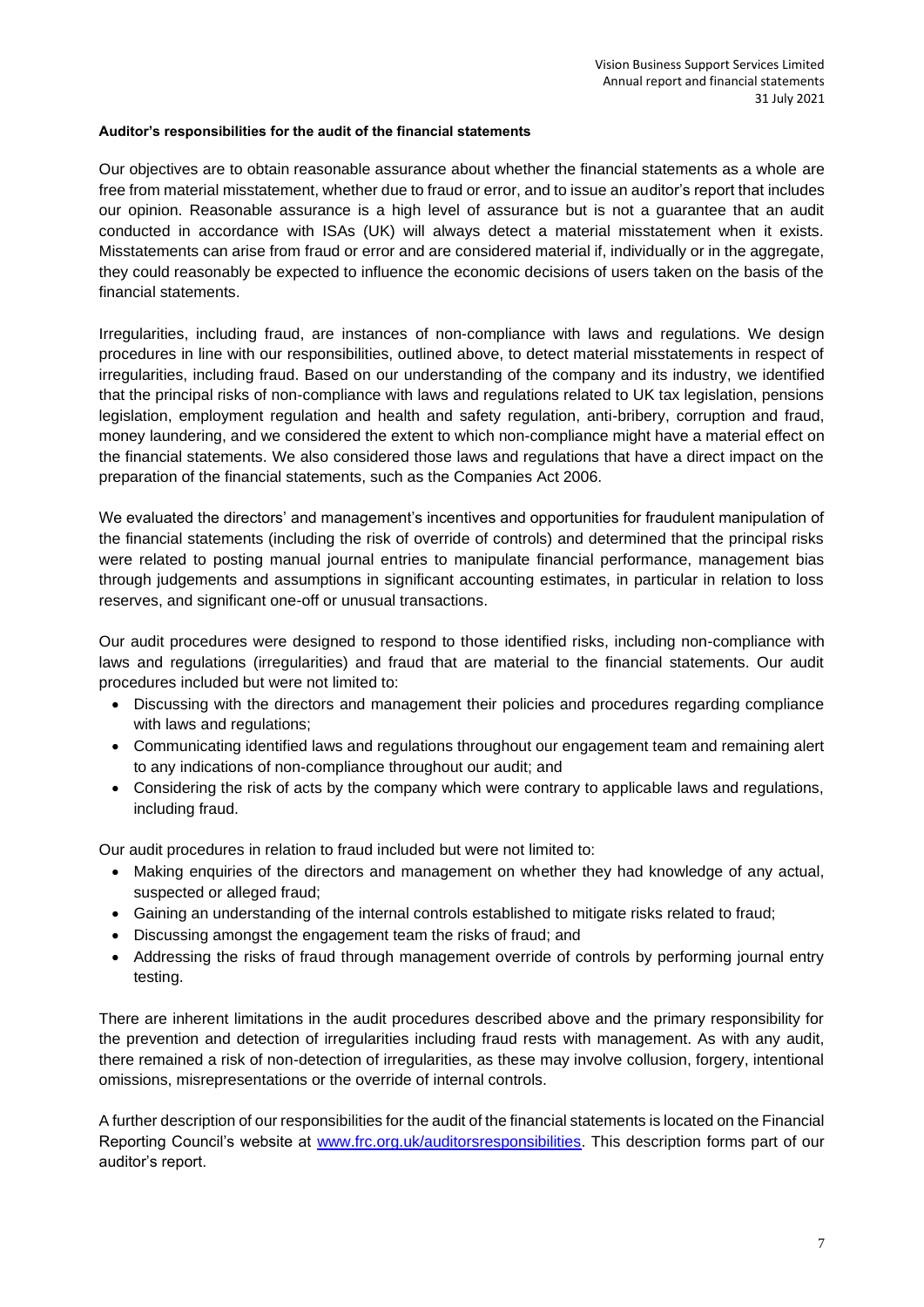#### **Auditor's responsibilities for the audit of the financial statements**

Our objectives are to obtain reasonable assurance about whether the financial statements as a whole are free from material misstatement, whether due to fraud or error, and to issue an auditor's report that includes our opinion. Reasonable assurance is a high level of assurance but is not a guarantee that an audit conducted in accordance with ISAs (UK) will always detect a material misstatement when it exists. Misstatements can arise from fraud or error and are considered material if, individually or in the aggregate, they could reasonably be expected to influence the economic decisions of users taken on the basis of the financial statements.

Irregularities, including fraud, are instances of non-compliance with laws and regulations. We design procedures in line with our responsibilities, outlined above, to detect material misstatements in respect of irregularities, including fraud. Based on our understanding of the company and its industry, we identified that the principal risks of non-compliance with laws and regulations related to UK tax legislation, pensions legislation, employment regulation and health and safety regulation, anti-bribery, corruption and fraud, money laundering, and we considered the extent to which non-compliance might have a material effect on the financial statements. We also considered those laws and regulations that have a direct impact on the preparation of the financial statements, such as the Companies Act 2006.

We evaluated the directors' and management's incentives and opportunities for fraudulent manipulation of the financial statements (including the risk of override of controls) and determined that the principal risks were related to posting manual journal entries to manipulate financial performance, management bias through judgements and assumptions in significant accounting estimates, in particular in relation to loss reserves, and significant one-off or unusual transactions.

Our audit procedures were designed to respond to those identified risks, including non-compliance with laws and regulations (irregularities) and fraud that are material to the financial statements. Our audit procedures included but were not limited to:

- Discussing with the directors and management their policies and procedures regarding compliance with laws and regulations;
- Communicating identified laws and regulations throughout our engagement team and remaining alert to any indications of non-compliance throughout our audit; and
- Considering the risk of acts by the company which were contrary to applicable laws and regulations, including fraud.

Our audit procedures in relation to fraud included but were not limited to:

- Making enquiries of the directors and management on whether they had knowledge of any actual, suspected or alleged fraud;
- Gaining an understanding of the internal controls established to mitigate risks related to fraud;
- Discussing amongst the engagement team the risks of fraud; and
- Addressing the risks of fraud through management override of controls by performing journal entry testing.

There are inherent limitations in the audit procedures described above and the primary responsibility for the prevention and detection of irregularities including fraud rests with management. As with any audit, there remained a risk of non-detection of irregularities, as these may involve collusion, forgery, intentional omissions, misrepresentations or the override of internal controls.

A further description of our responsibilities for the audit of the financial statements is located on the Financial Reporting Council's website at [www.frc.org.uk/auditorsresponsibilities.](http://www.frc.org.uk/auditorsresponsibilities) This description forms part of our auditor's report.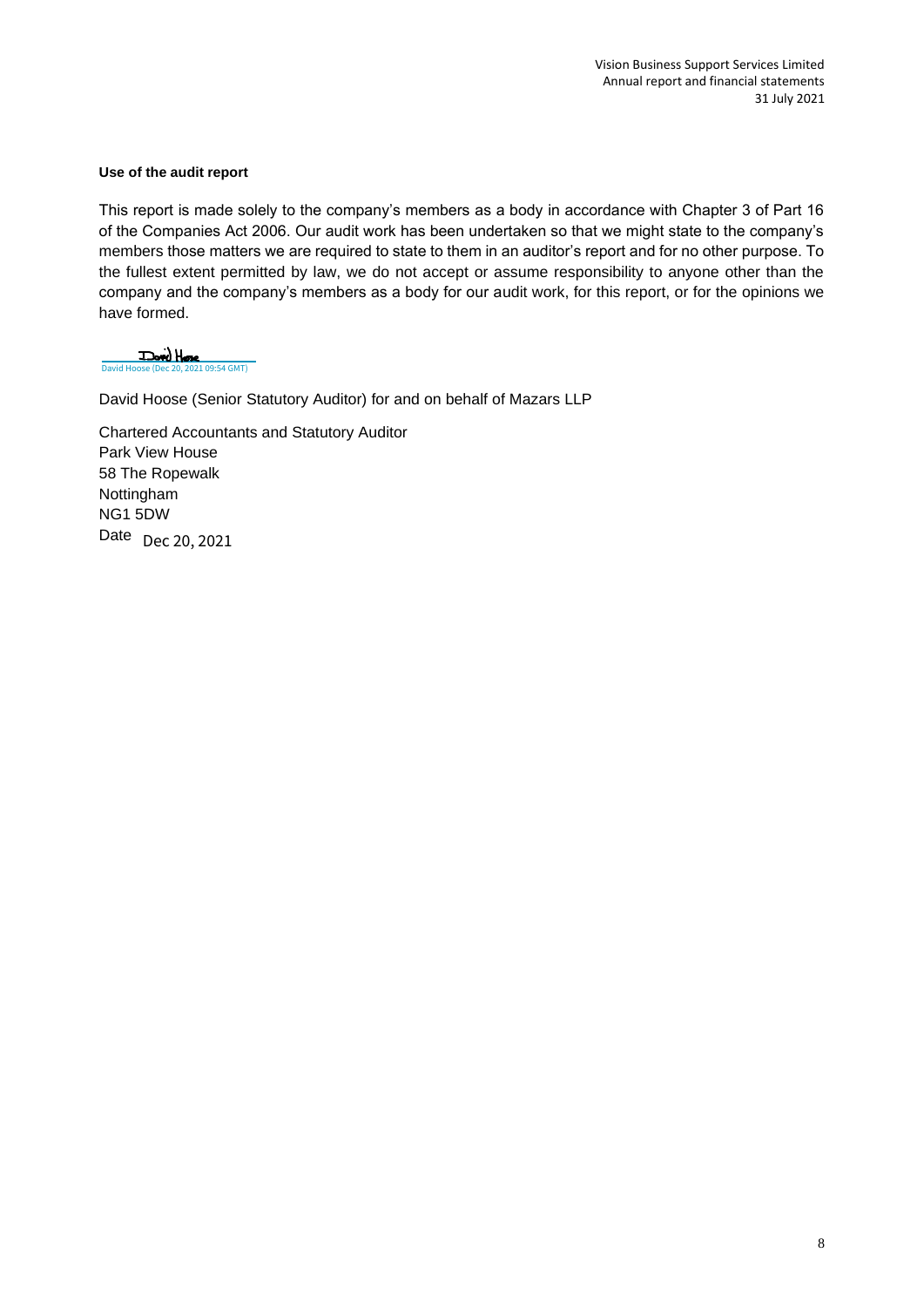### **Use of the audit report**

This report is made solely to the company's members as a body in accordance with Chapter 3 of Part 16 of the Companies Act 2006. Our audit work has been undertaken so that we might state to the company's members those matters we are required to state to them in an auditor's report and for no other purpose. To the fullest extent permitted by law, we do not accept or assume responsibility to anyone other than the company and the company's members as a body for our audit work, for this report, or for the opinions we have formed.

Dovid Hose [David Hoose \(Dec 20, 2021 09:54 GMT\)](https://mazars.eu1.documents.adobe.com/verifier?tx=CBJCHBCAABAAICORksbyG0Fe05HVDshv_sR18ToaqkbO)

David Hoose (Senior Statutory Auditor) for and on behalf of Mazars LLP

Chartered Accountants and Statutory Auditor Park View House 58 The Ropewalk Nottingham NG1 5DW Date Dec 20, 2021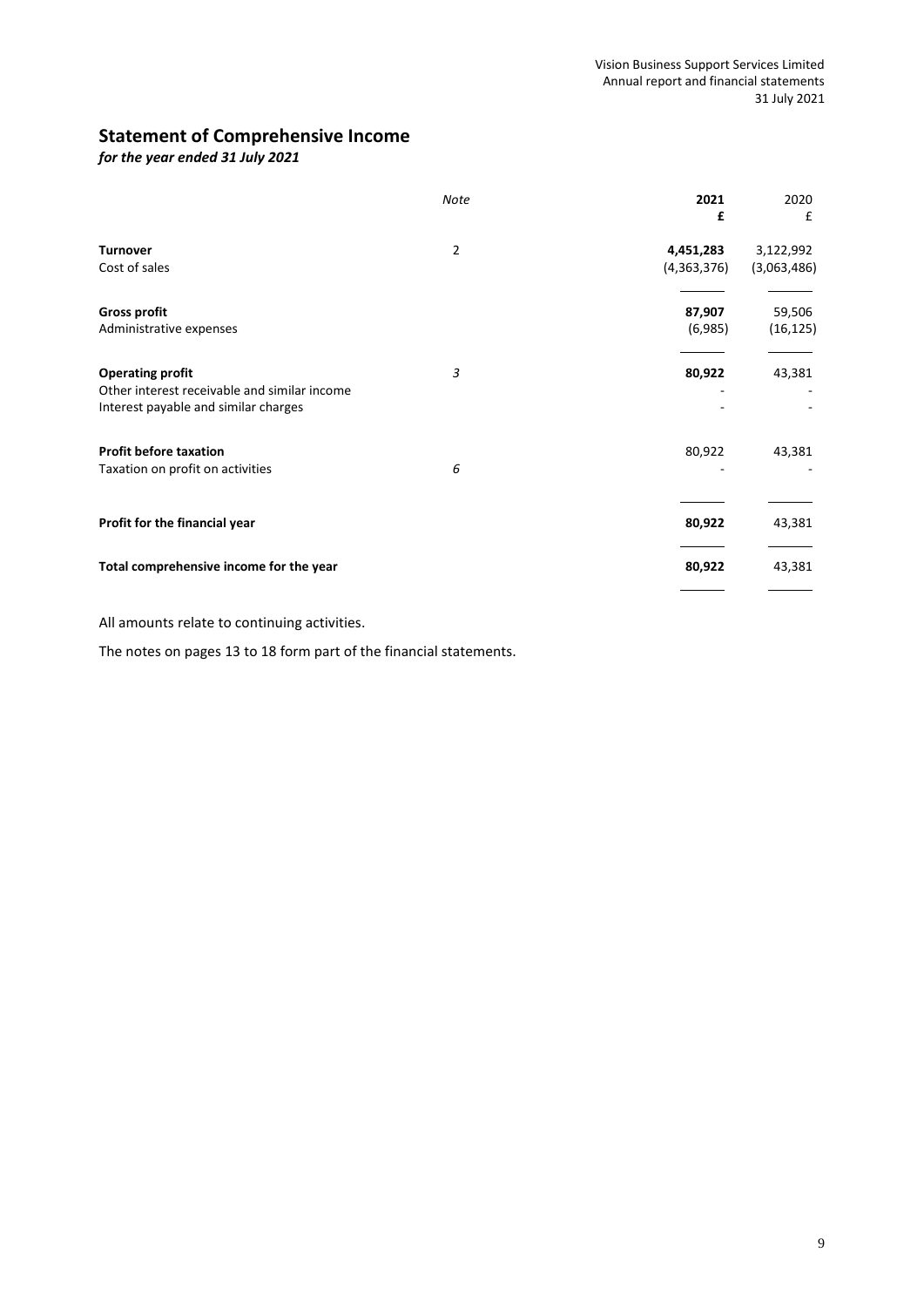# **Statement of Comprehensive Income**

# *for the year ended 31 July 2021*

| Note           | 2021<br>£ | 2020<br>£                |
|----------------|-----------|--------------------------|
| $\overline{2}$ | 4,451,283 | 3,122,992<br>(3,063,486) |
|                |           |                          |
|                | 87,907    | 59,506                   |
|                | (6,985)   | (16, 125)                |
| 3              | 80,922    | 43,381                   |
|                |           |                          |
|                | 80,922    | 43,381                   |
| 6              |           |                          |
|                | 80,922    | 43,381                   |
|                | 80,922    | 43,381                   |
|                |           | (4,363,376)              |

All amounts relate to continuing activities.

The notes on pages 13 to 18 form part of the financial statements.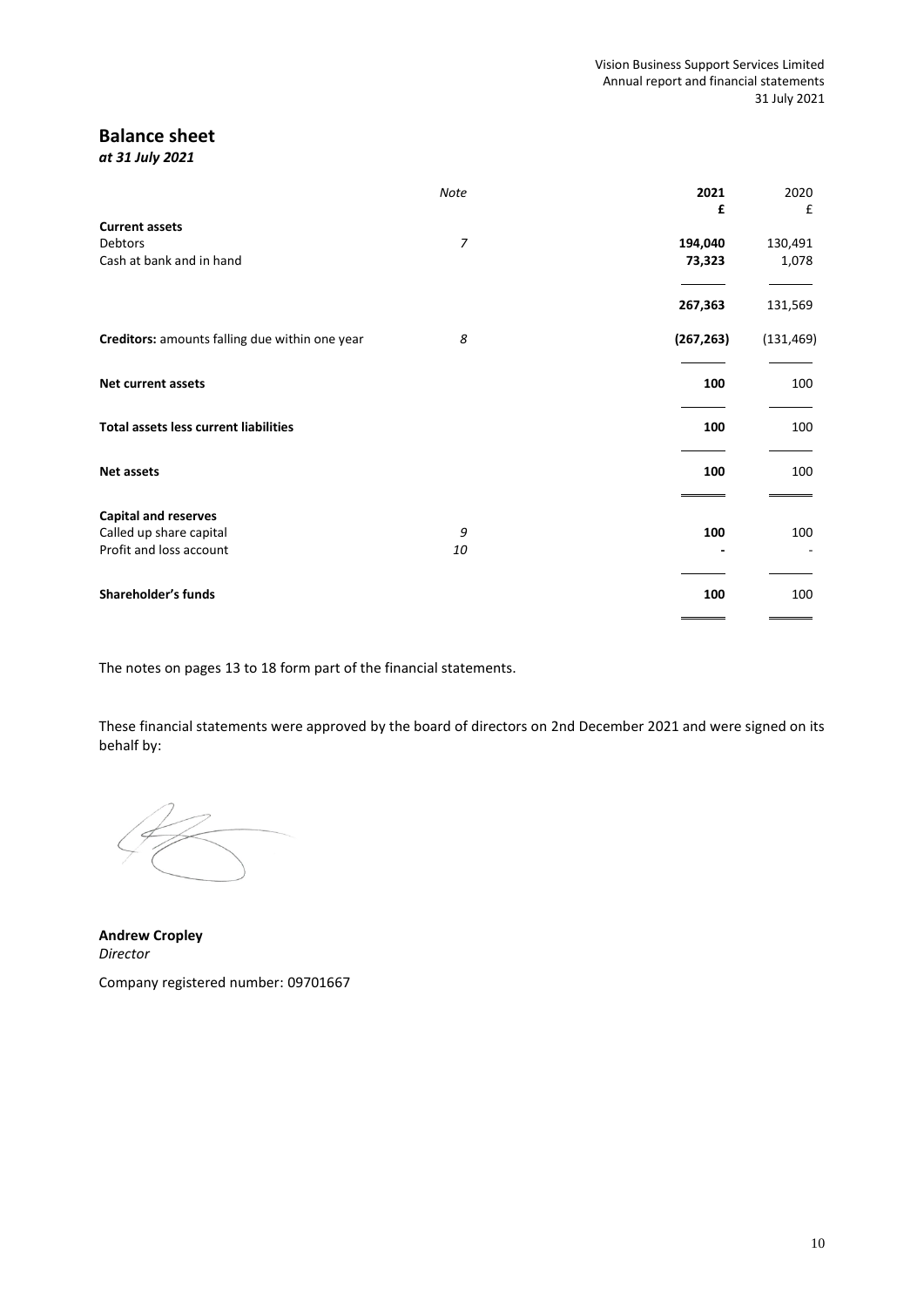# **Balance sheet**

*at 31 July 2021*

|                                                | <b>Note</b> | 2021<br>£  | 2020<br>£  |
|------------------------------------------------|-------------|------------|------------|
| <b>Current assets</b>                          |             |            |            |
| Debtors                                        | 7           | 194,040    | 130,491    |
| Cash at bank and in hand                       |             | 73,323     | 1,078      |
|                                                |             | 267,363    | 131,569    |
| Creditors: amounts falling due within one year | 8           | (267, 263) | (131, 469) |
| <b>Net current assets</b>                      |             | 100        | 100        |
| <b>Total assets less current liabilities</b>   |             | 100        | 100        |
| <b>Net assets</b>                              |             | 100        | 100        |
| <b>Capital and reserves</b>                    |             |            |            |
| Called up share capital                        | 9           | 100        | 100        |
| Profit and loss account                        | 10          |            |            |
| Shareholder's funds                            |             | 100        | 100        |

The notes on pages 13 to 18 form part of the financial statements.

These financial statements were approved by the board of directors on 2nd December 2021 and were signed on its behalf by:

**Andrew Cropley** *Director* Company registered number: 09701667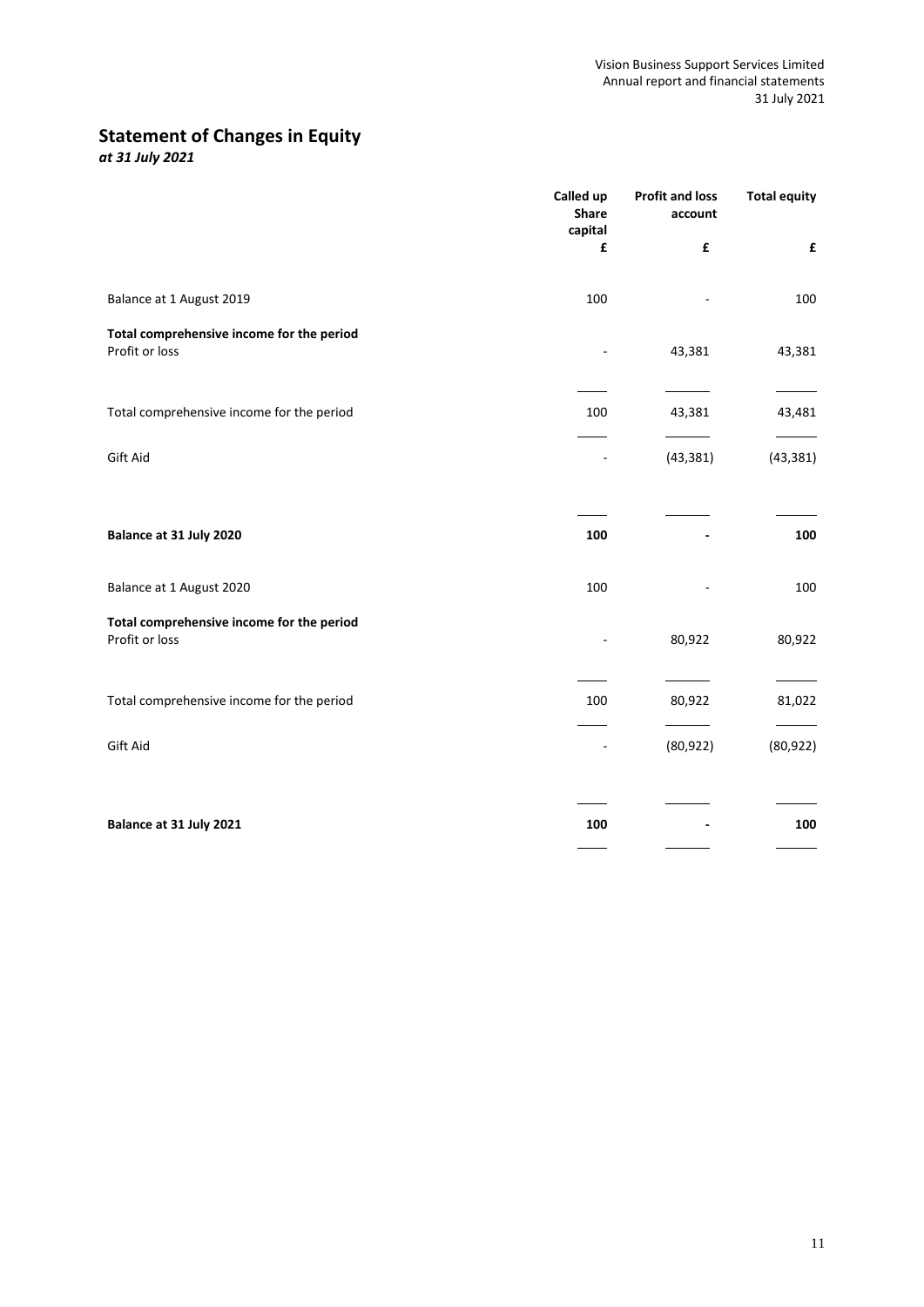# **Statement of Changes in Equity**

*at 31 July 2021*

|                                                             | Called up<br>Share | <b>Profit and loss</b><br>account<br>capital |           | <b>Total equity</b> |  |
|-------------------------------------------------------------|--------------------|----------------------------------------------|-----------|---------------------|--|
|                                                             | £                  | $\pmb{\mathsf{f}}$                           | £         |                     |  |
| Balance at 1 August 2019                                    | 100                |                                              | 100       |                     |  |
| Total comprehensive income for the period<br>Profit or loss |                    | 43,381                                       | 43,381    |                     |  |
| Total comprehensive income for the period                   | 100                | 43,381                                       | 43,481    |                     |  |
| Gift Aid                                                    |                    | (43, 381)                                    | (43, 381) |                     |  |
| Balance at 31 July 2020                                     | 100                |                                              | 100       |                     |  |
| Balance at 1 August 2020                                    | 100                |                                              | 100       |                     |  |
| Total comprehensive income for the period<br>Profit or loss |                    | 80,922                                       | 80,922    |                     |  |
| Total comprehensive income for the period                   | 100                | 80,922                                       | 81,022    |                     |  |
| Gift Aid                                                    | $\sim$             | (80, 922)                                    | (80, 922) |                     |  |
| Balance at 31 July 2021                                     | 100                |                                              | 100       |                     |  |
|                                                             |                    |                                              |           |                     |  |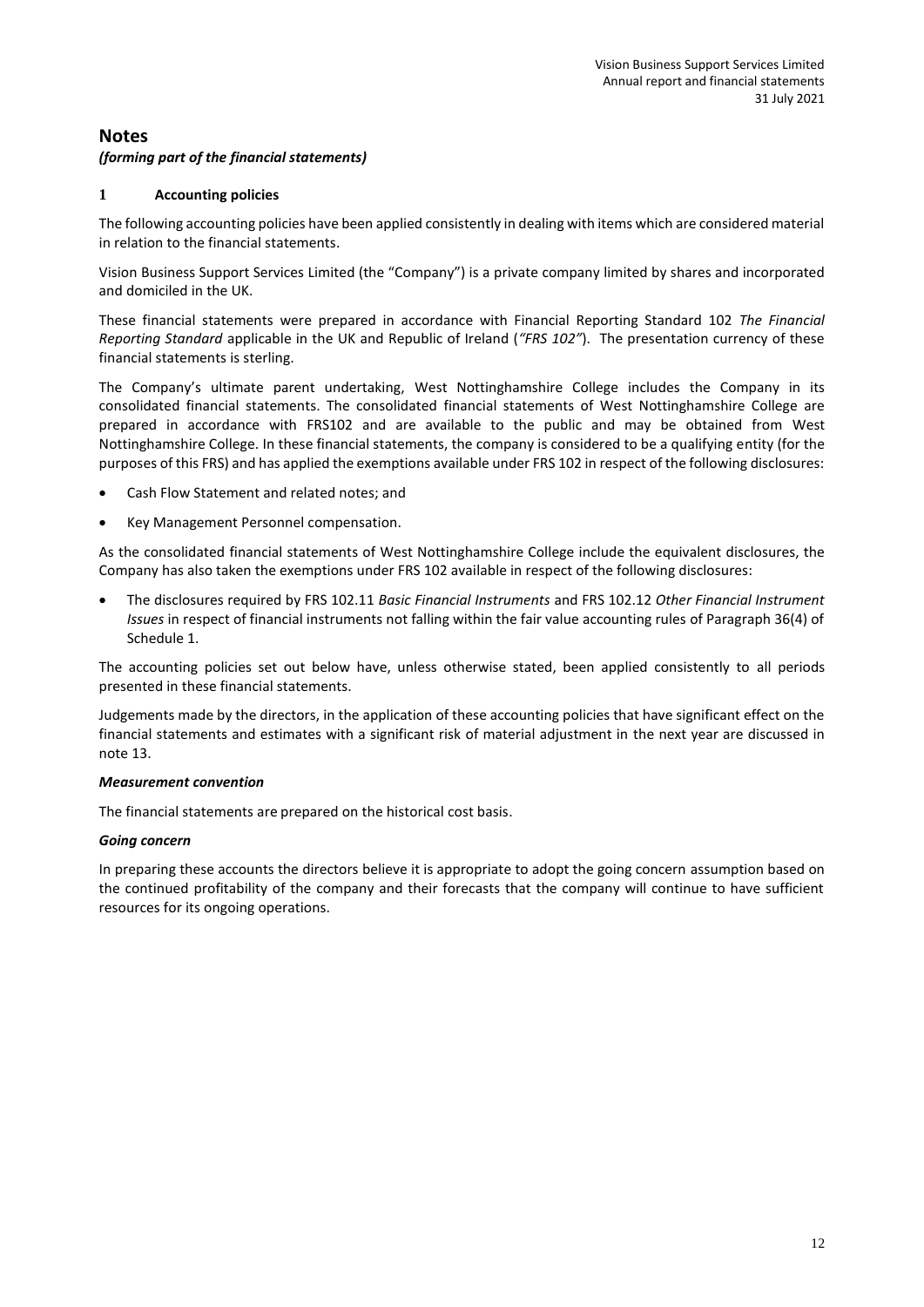# **Notes**

#### *(forming part of the financial statements)*

# **1 Accounting policies**

The following accounting policies have been applied consistently in dealing with items which are considered material in relation to the financial statements.

Vision Business Support Services Limited (the "Company") is a private company limited by shares and incorporated and domiciled in the UK.

These financial statements were prepared in accordance with Financial Reporting Standard 102 *The Financial Reporting Standard* applicable in the UK and Republic of Ireland (*"FRS 102"*). The presentation currency of these financial statements is sterling.

The Company's ultimate parent undertaking, West Nottinghamshire College includes the Company in its consolidated financial statements. The consolidated financial statements of West Nottinghamshire College are prepared in accordance with FRS102 and are available to the public and may be obtained from West Nottinghamshire College. In these financial statements, the company is considered to be a qualifying entity (for the purposes of this FRS) and has applied the exemptions available under FRS 102 in respect of the following disclosures:

- Cash Flow Statement and related notes; and
- Key Management Personnel compensation.

As the consolidated financial statements of West Nottinghamshire College include the equivalent disclosures, the Company has also taken the exemptions under FRS 102 available in respect of the following disclosures:

• The disclosures required by FRS 102.11 *Basic Financial Instruments* and FRS 102.12 *Other Financial Instrument Issues* in respect of financial instruments not falling within the fair value accounting rules of Paragraph 36(4) of Schedule 1.

The accounting policies set out below have, unless otherwise stated, been applied consistently to all periods presented in these financial statements.

Judgements made by the directors, in the application of these accounting policies that have significant effect on the financial statements and estimates with a significant risk of material adjustment in the next year are discussed in note 13.

#### *Measurement convention*

The financial statements are prepared on the historical cost basis.

#### *Going concern*

In preparing these accounts the directors believe it is appropriate to adopt the going concern assumption based on the continued profitability of the company and their forecasts that the company will continue to have sufficient resources for its ongoing operations.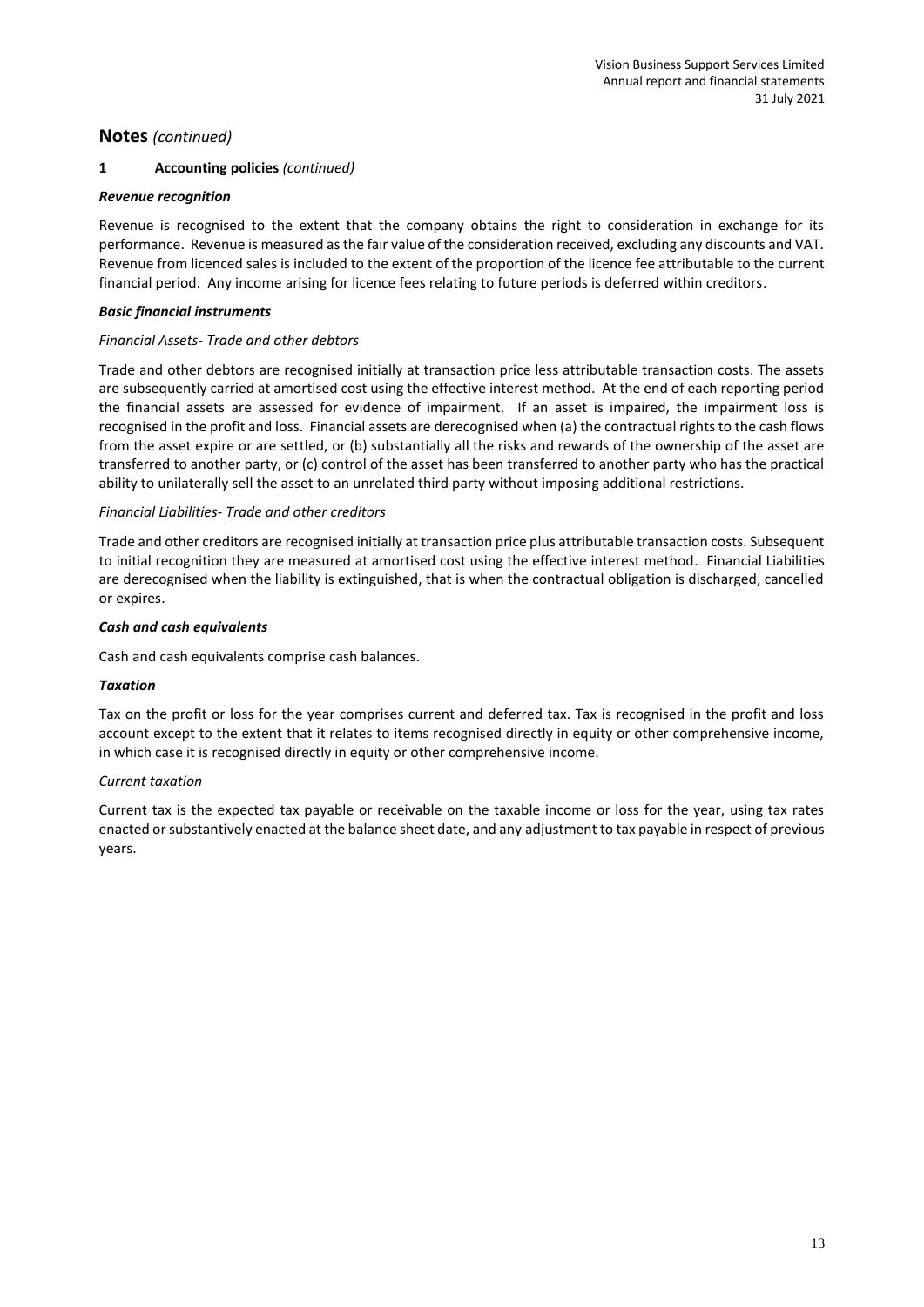# **1 Accounting policies** *(continued)*

#### *Revenue recognition*

Revenue is recognised to the extent that the company obtains the right to consideration in exchange for its performance. Revenue is measured as the fair value of the consideration received, excluding any discounts and VAT. Revenue from licenced sales is included to the extent of the proportion of the licence fee attributable to the current financial period. Any income arising for licence fees relating to future periods is deferred within creditors.

#### *Basic financial instruments*

#### *Financial Assets- Trade and other debtors*

Trade and other debtors are recognised initially at transaction price less attributable transaction costs. The assets are subsequently carried at amortised cost using the effective interest method. At the end of each reporting period the financial assets are assessed for evidence of impairment. If an asset is impaired, the impairment loss is recognised in the profit and loss. Financial assets are derecognised when (a) the contractual rights to the cash flows from the asset expire or are settled, or (b) substantially all the risks and rewards of the ownership of the asset are transferred to another party, or (c) control of the asset has been transferred to another party who has the practical ability to unilaterally sell the asset to an unrelated third party without imposing additional restrictions.

#### *Financial Liabilities- Trade and other creditors*

Trade and other creditors are recognised initially at transaction price plus attributable transaction costs. Subsequent to initial recognition they are measured at amortised cost using the effective interest method. Financial Liabilities are derecognised when the liability is extinguished, that is when the contractual obligation is discharged, cancelled or expires.

#### *Cash and cash equivalents*

Cash and cash equivalents comprise cash balances.

#### *Taxation*

Tax on the profit or loss for the year comprises current and deferred tax. Tax is recognised in the profit and loss account except to the extent that it relates to items recognised directly in equity or other comprehensive income, in which case it is recognised directly in equity or other comprehensive income.

#### *Current taxation*

Current tax is the expected tax payable or receivable on the taxable income or loss for the year, using tax rates enacted or substantively enacted at the balance sheet date, and any adjustment to tax payable in respect of previous years.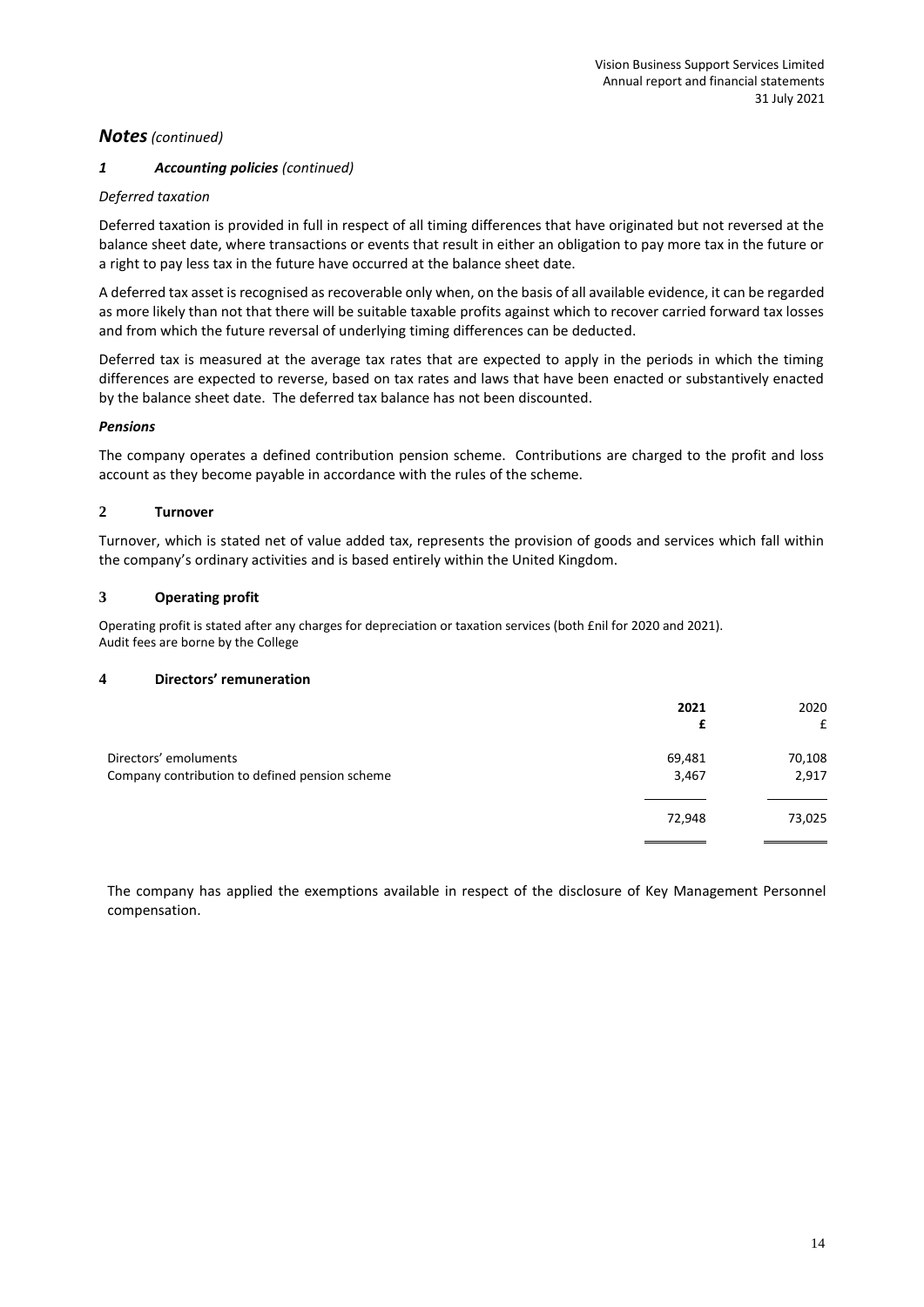# *1 Accounting policies (continued)*

# *Deferred taxation*

Deferred taxation is provided in full in respect of all timing differences that have originated but not reversed at the balance sheet date, where transactions or events that result in either an obligation to pay more tax in the future or a right to pay less tax in the future have occurred at the balance sheet date.

A deferred tax asset is recognised as recoverable only when, on the basis of all available evidence, it can be regarded as more likely than not that there will be suitable taxable profits against which to recover carried forward tax losses and from which the future reversal of underlying timing differences can be deducted.

Deferred tax is measured at the average tax rates that are expected to apply in the periods in which the timing differences are expected to reverse, based on tax rates and laws that have been enacted or substantively enacted by the balance sheet date. The deferred tax balance has not been discounted.

# *Pensions*

The company operates a defined contribution pension scheme. Contributions are charged to the profit and loss account as they become payable in accordance with the rules of the scheme.

# **2 Turnover**

Turnover, which is stated net of value added tax, represents the provision of goods and services which fall within the company's ordinary activities and is based entirely within the United Kingdom.

# **3 Operating profit**

Operating profit is stated after any charges for depreciation or taxation services (both £nil for 2020 and 2021). Audit fees are borne by the College

#### **4 Directors' remuneration**

|                                                                         | 2021<br>£       | 2020<br>£       |
|-------------------------------------------------------------------------|-----------------|-----------------|
| Directors' emoluments<br>Company contribution to defined pension scheme | 69,481<br>3,467 | 70,108<br>2,917 |
|                                                                         | 72,948          | 73,025          |
|                                                                         |                 |                 |

The company has applied the exemptions available in respect of the disclosure of Key Management Personnel compensation.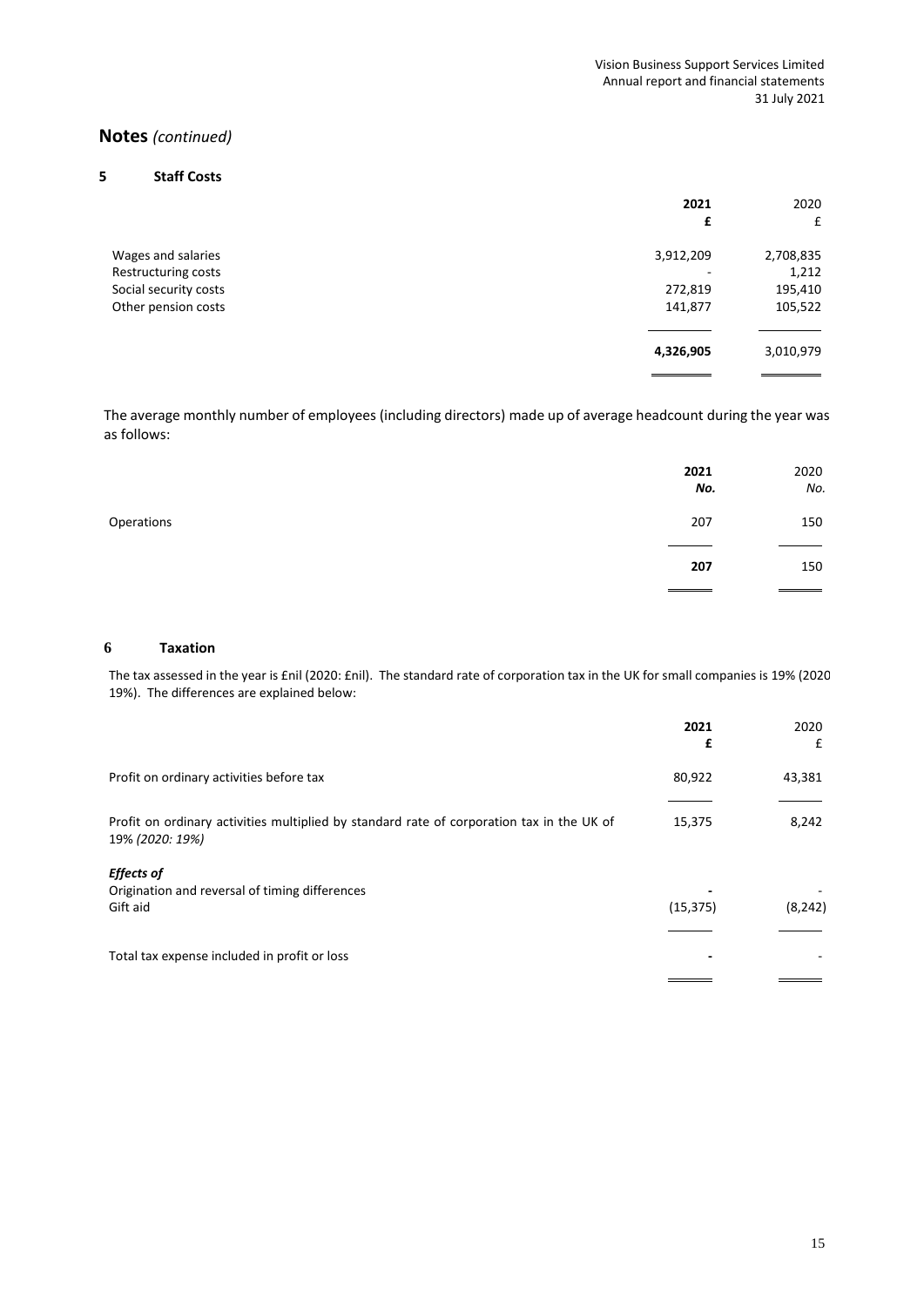# **5 Staff Costs**

|                       | 2021      | 2020      |
|-----------------------|-----------|-----------|
|                       | £         | £         |
| Wages and salaries    | 3,912,209 | 2,708,835 |
| Restructuring costs   | -         | 1,212     |
| Social security costs | 272,819   | 195,410   |
| Other pension costs   | 141,877   | 105,522   |
|                       | 4,326,905 | 3,010,979 |
|                       |           |           |
|                       |           |           |

The average monthly number of employees (including directors) made up of average headcount during the year was as follows:

|            | 2021<br>No. | 2020<br>No. |  |
|------------|-------------|-------------|--|
| Operations | 207         | 150         |  |
|            | 207         | 150         |  |
|            | ______      | ______      |  |

### **6 Taxation**

The tax assessed in the year is £nil (2020: £nil). The standard rate of corporation tax in the UK for small companies is 19% (2020 19%). The differences are explained below:

|                                                                                                              | 2021<br>£ | 2020<br>£ |
|--------------------------------------------------------------------------------------------------------------|-----------|-----------|
| Profit on ordinary activities before tax                                                                     | 80,922    | 43,381    |
| Profit on ordinary activities multiplied by standard rate of corporation tax in the UK of<br>19% (2020: 19%) | 15,375    | 8,242     |
| <b>Effects of</b><br>Origination and reversal of timing differences<br>Gift aid                              | (15, 375) | (8, 242)  |
| Total tax expense included in profit or loss                                                                 |           |           |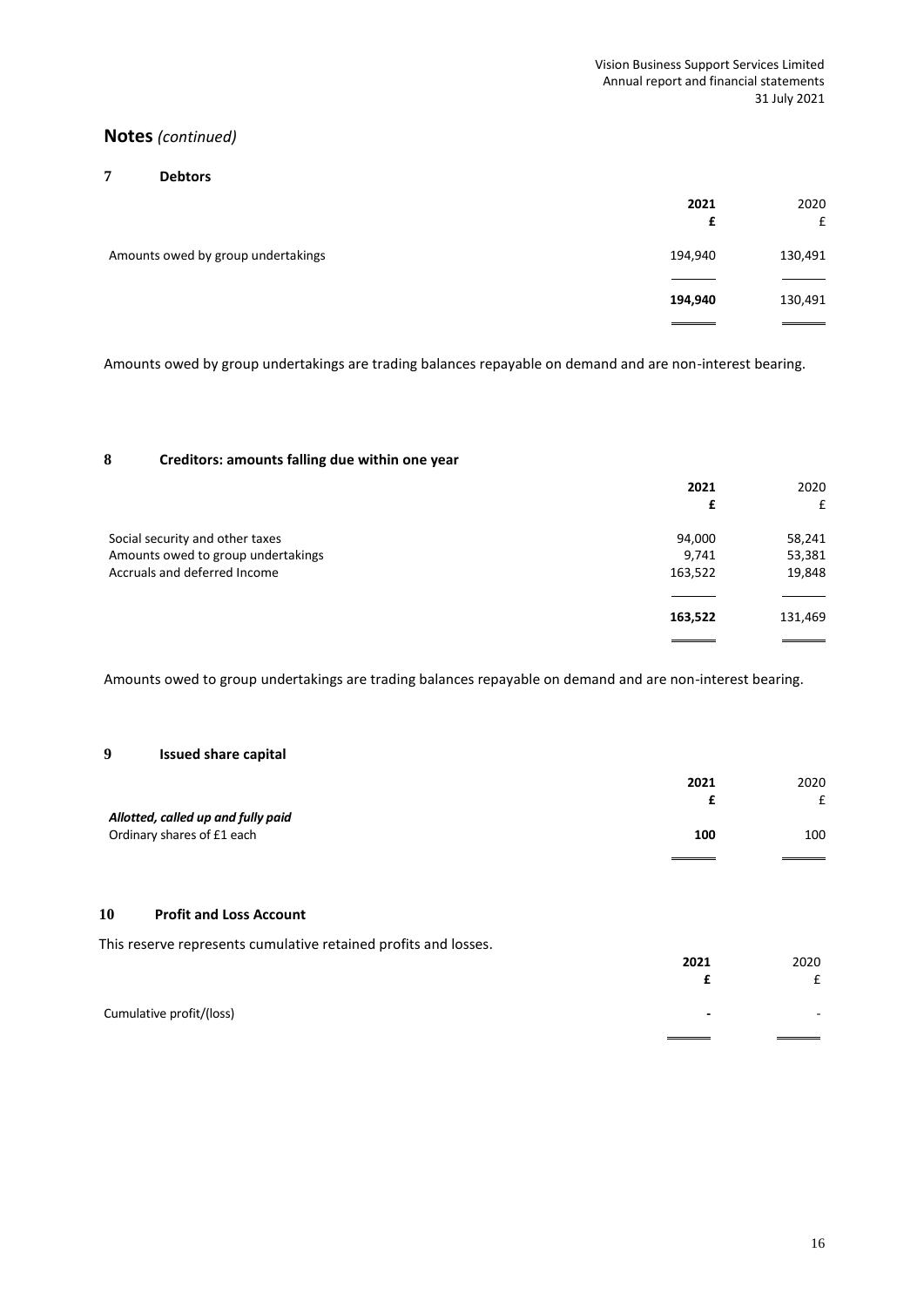# **7 Debtors**

|                                    | 2021<br>£ | 2020<br>£ |
|------------------------------------|-----------|-----------|
| Amounts owed by group undertakings | 194,940   | 130,491   |
|                                    | 194,940   | 130,491   |
|                                    |           |           |

Amounts owed by group undertakings are trading balances repayable on demand and are non-interest bearing.

# **8 Creditors: amounts falling due within one year**

|                                    | 2021    | 2020    |
|------------------------------------|---------|---------|
|                                    | £       | £       |
| Social security and other taxes    | 94,000  | 58,241  |
| Amounts owed to group undertakings | 9,741   | 53,381  |
| Accruals and deferred Income       | 163,522 | 19,848  |
|                                    |         |         |
|                                    | 163,522 | 131,469 |
|                                    |         |         |

Amounts owed to group undertakings are trading balances repayable on demand and are non-interest bearing.

# **9 Issued share capital**

|                                    | 2021 | 2020 |
|------------------------------------|------|------|
|                                    |      |      |
| Allotted, called up and fully paid |      |      |
| Ordinary shares of £1 each         | 100  | 100  |
|                                    |      |      |

# **10 Profit and Loss Account**

This reserve represents cumulative retained profits and losses.

|                          | 2021                     | 2020               |
|--------------------------|--------------------------|--------------------|
|                          |                          | $\sim$<br><b>.</b> |
| Cumulative profit/(loss) | $\overline{\phantom{0}}$ | $\sim$             |
|                          |                          |                    |